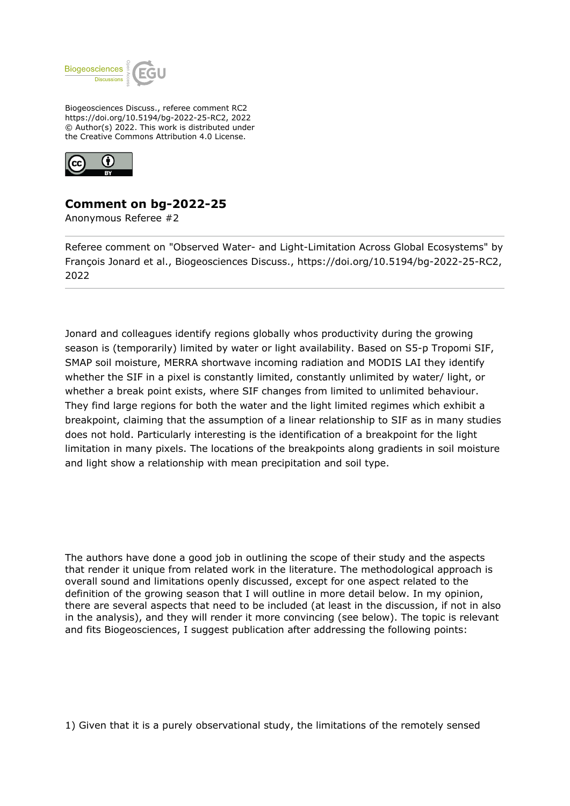

Biogeosciences Discuss., referee comment RC2 https://doi.org/10.5194/bg-2022-25-RC2, 2022 © Author(s) 2022. This work is distributed under the Creative Commons Attribution 4.0 License.



## **Comment on bg-2022-25**

Anonymous Referee #2

Referee comment on "Observed Water- and Light-Limitation Across Global Ecosystems" by François Jonard et al., Biogeosciences Discuss., https://doi.org/10.5194/bg-2022-25-RC2, 2022

Jonard and colleagues identify regions globally whos productivity during the growing season is (temporarily) limited by water or light availability. Based on S5-p Tropomi SIF, SMAP soil moisture, MERRA shortwave incoming radiation and MODIS LAI they identify whether the SIF in a pixel is constantly limited, constantly unlimited by water/ light, or whether a break point exists, where SIF changes from limited to unlimited behaviour. They find large regions for both the water and the light limited regimes which exhibit a breakpoint, claiming that the assumption of a linear relationship to SIF as in many studies does not hold. Particularly interesting is the identification of a breakpoint for the light limitation in many pixels. The locations of the breakpoints along gradients in soil moisture and light show a relationship with mean precipitation and soil type.

The authors have done a good job in outlining the scope of their study and the aspects that render it unique from related work in the literature. The methodological approach is overall sound and limitations openly discussed, except for one aspect related to the definition of the growing season that I will outline in more detail below. In my opinion, there are several aspects that need to be included (at least in the discussion, if not in also in the analysis), and they will render it more convincing (see below). The topic is relevant and fits Biogeosciences, I suggest publication after addressing the following points:

1) Given that it is a purely observational study, the limitations of the remotely sensed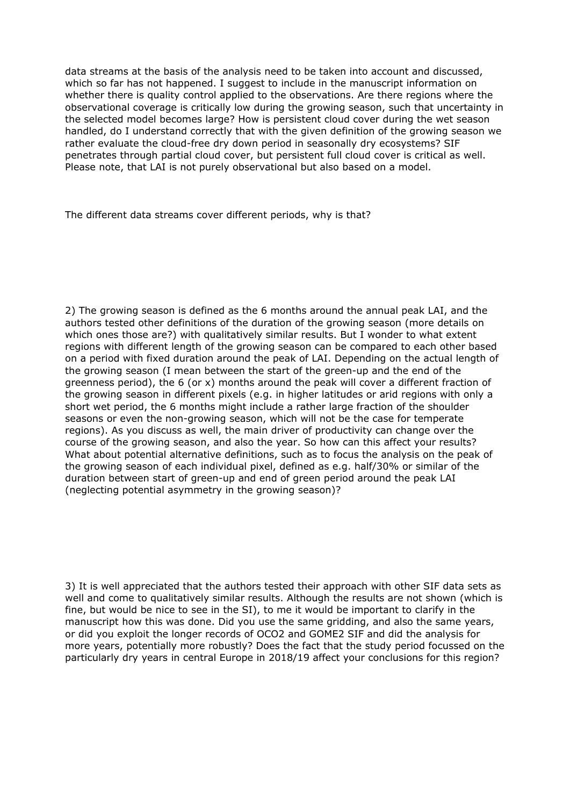data streams at the basis of the analysis need to be taken into account and discussed, which so far has not happened. I suggest to include in the manuscript information on whether there is quality control applied to the observations. Are there regions where the observational coverage is critically low during the growing season, such that uncertainty in the selected model becomes large? How is persistent cloud cover during the wet season handled, do I understand correctly that with the given definition of the growing season we rather evaluate the cloud-free dry down period in seasonally dry ecosystems? SIF penetrates through partial cloud cover, but persistent full cloud cover is critical as well. Please note, that LAI is not purely observational but also based on a model.

The different data streams cover different periods, why is that?

2) The growing season is defined as the 6 months around the annual peak LAI, and the authors tested other definitions of the duration of the growing season (more details on which ones those are?) with qualitatively similar results. But I wonder to what extent regions with different length of the growing season can be compared to each other based on a period with fixed duration around the peak of LAI. Depending on the actual length of the growing season (I mean between the start of the green-up and the end of the greenness period), the 6 (or x) months around the peak will cover a different fraction of the growing season in different pixels (e.g. in higher latitudes or arid regions with only a short wet period, the 6 months might include a rather large fraction of the shoulder seasons or even the non-growing season, which will not be the case for temperate regions). As you discuss as well, the main driver of productivity can change over the course of the growing season, and also the year. So how can this affect your results? What about potential alternative definitions, such as to focus the analysis on the peak of the growing season of each individual pixel, defined as e.g. half/30% or similar of the duration between start of green-up and end of green period around the peak LAI (neglecting potential asymmetry in the growing season)?

3) It is well appreciated that the authors tested their approach with other SIF data sets as well and come to qualitatively similar results. Although the results are not shown (which is fine, but would be nice to see in the SI), to me it would be important to clarify in the manuscript how this was done. Did you use the same gridding, and also the same years, or did you exploit the longer records of OCO2 and GOME2 SIF and did the analysis for more years, potentially more robustly? Does the fact that the study period focussed on the particularly dry years in central Europe in 2018/19 affect your conclusions for this region?